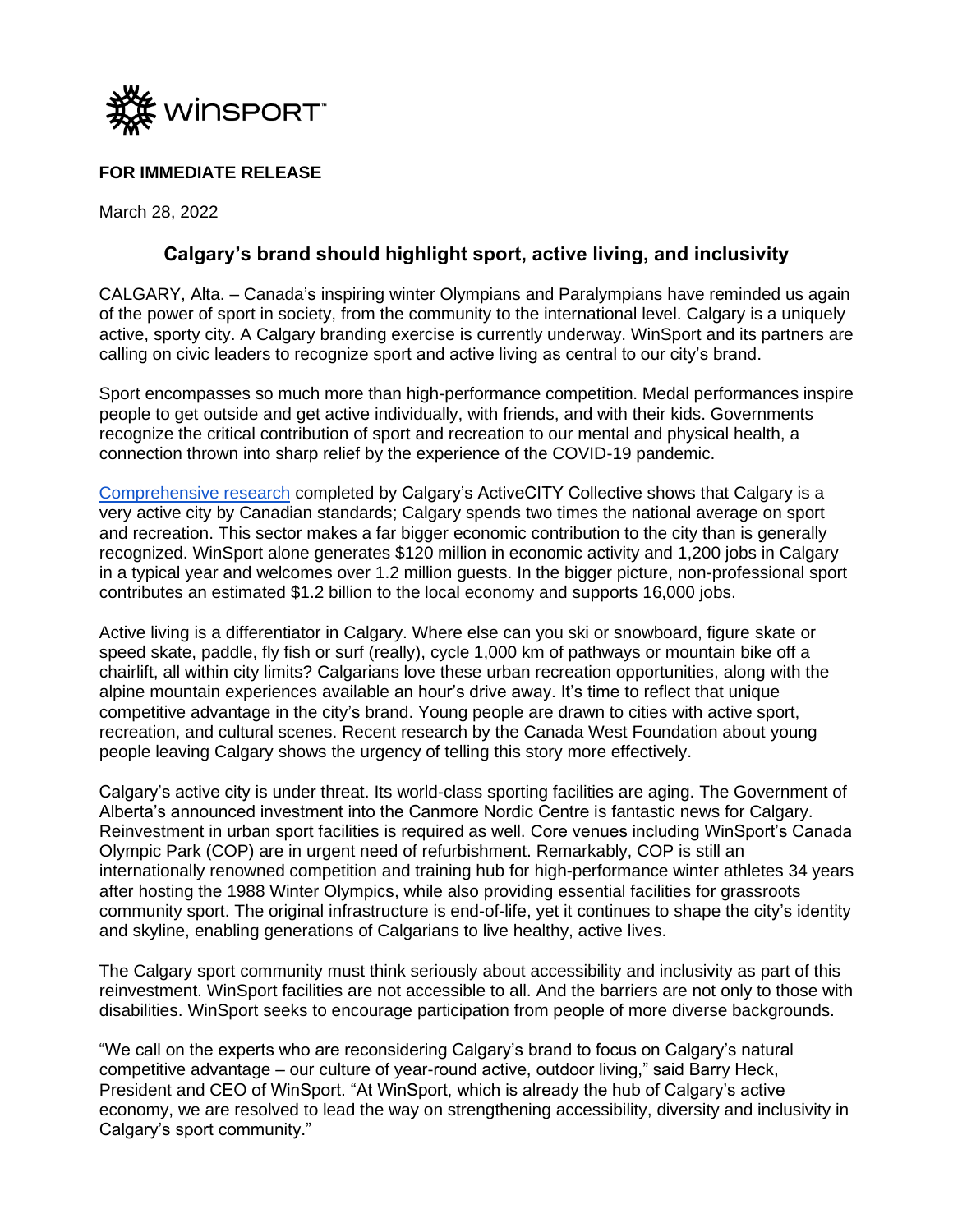

## **FOR IMMEDIATE RELEASE**

March 28, 2022

## **Calgary's brand should highlight sport, active living, and inclusivity**

CALGARY, Alta. – Canada's inspiring winter Olympians and Paralympians have reminded us again of the power of sport in society, from the community to the international level. Calgary is a uniquely active, sporty city. A Calgary branding exercise is currently underway. WinSport and its partners are calling on civic leaders to recognize sport and active living as central to our city's brand.

Sport encompasses so much more than high-performance competition. Medal performances inspire people to get outside and get active individually, with friends, and with their kids. Governments recognize the critical contribution of sport and recreation to our mental and physical health, a connection thrown into sharp relief by the experience of the COVID-19 pandemic.

[Comprehensive research](https://www.activecitycollective.ca/playbook2030) completed by Calgary's ActiveCITY Collective shows that Calgary is a very active city by Canadian standards; Calgary spends two times the national average on sport and recreation. This sector makes a far bigger economic contribution to the city than is generally recognized. WinSport alone generates \$120 million in economic activity and 1,200 jobs in Calgary in a typical year and welcomes over 1.2 million guests. In the bigger picture, non-professional sport contributes an estimated \$1.2 billion to the local economy and supports 16,000 jobs.

Active living is a differentiator in Calgary. Where else can you ski or snowboard, figure skate or speed skate, paddle, fly fish or surf (really), cycle 1,000 km of pathways or mountain bike off a chairlift, all within city limits? Calgarians love these urban recreation opportunities, along with the alpine mountain experiences available an hour's drive away. It's time to reflect that unique competitive advantage in the city's brand. Young people are drawn to cities with active sport, recreation, and cultural scenes. Recent research by the Canada West Foundation about young people leaving Calgary shows the urgency of telling this story more effectively.

Calgary's active city is under threat. Its world-class sporting facilities are aging. The Government of Alberta's announced investment into the Canmore Nordic Centre is fantastic news for Calgary. Reinvestment in urban sport facilities is required as well. Core venues including WinSport's Canada Olympic Park (COP) are in urgent need of refurbishment. Remarkably, COP is still an internationally renowned competition and training hub for high-performance winter athletes 34 years after hosting the 1988 Winter Olympics, while also providing essential facilities for grassroots community sport. The original infrastructure is end-of-life, yet it continues to shape the city's identity and skyline, enabling generations of Calgarians to live healthy, active lives.

The Calgary sport community must think seriously about accessibility and inclusivity as part of this reinvestment. WinSport facilities are not accessible to all. And the barriers are not only to those with disabilities. WinSport seeks to encourage participation from people of more diverse backgrounds.

"We call on the experts who are reconsidering Calgary's brand to focus on Calgary's natural competitive advantage – our culture of year-round active, outdoor living," said Barry Heck, President and CEO of WinSport. "At WinSport, which is already the hub of Calgary's active economy, we are resolved to lead the way on strengthening accessibility, diversity and inclusivity in Calgary's sport community."